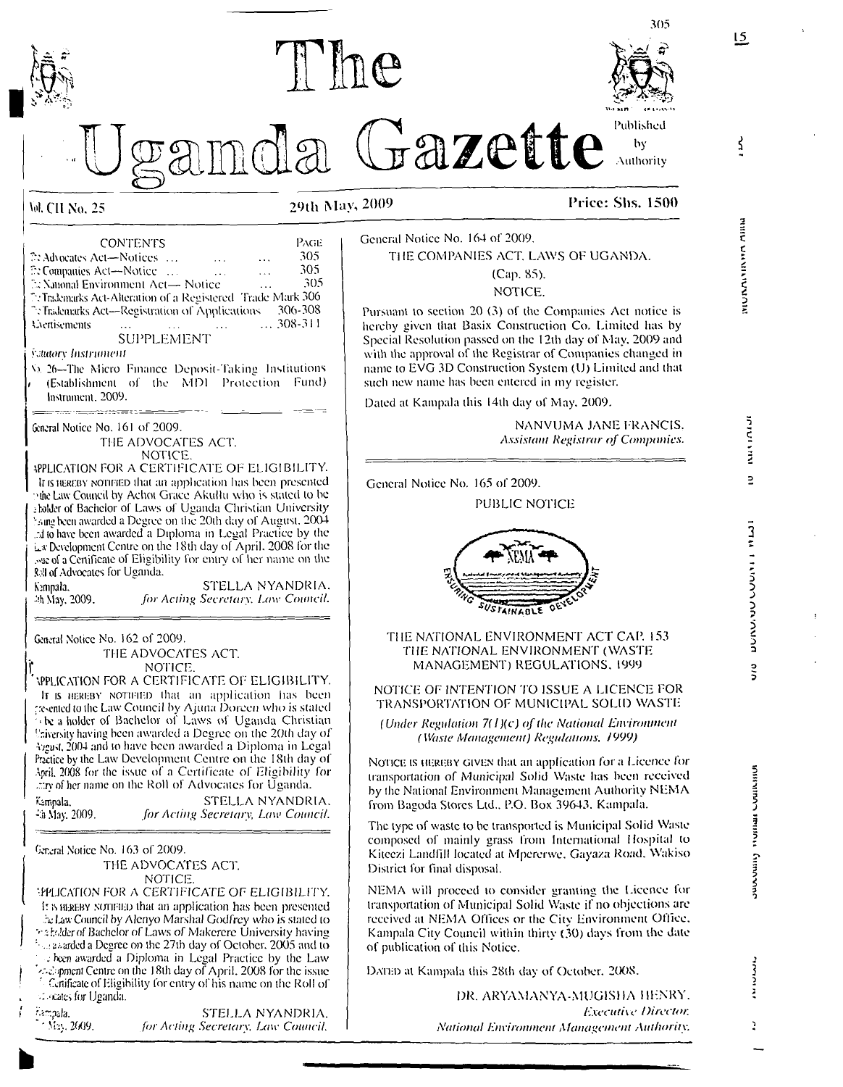

MUMANININIA AIIIN

**15**

 $\vec{z}$ 

3 **fk'n m n i V A v n n**

 $\overline{2}$ 

**n/n INSTITUTE INTERNATION vwi'MinA'^**

**imumi** 

**A n n A v i n n**

Cummonac

さくろう ž

ĕ.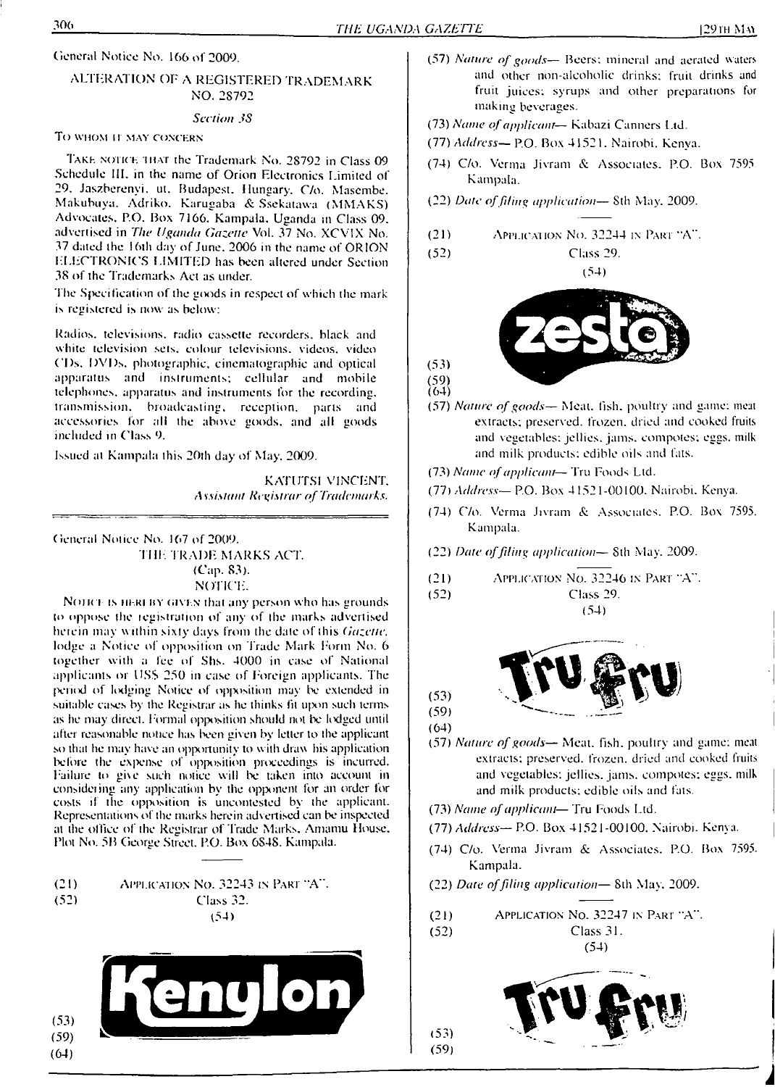## ALTERATION OE A REGISTERED TRADEMARK NO. 2S792

#### *Section JS*

### TO WHOM IT MAY CONCERN

TAKE NOTICE IHAT the Trademark No. 28792 in Class 09 Schedule III. in the name of Orion Electronics Limited of 29. Jaszberenyi. ut. Budapest. Hungary. C/o. Mascmbe. Makubuya. Adriko. Karugaba & Ssekatawa (MMAKS) Advocates. P.O. Box 7166. Kampala. Uganda in Class 09. advertised in *The Uganda Gazette* Vol. 37 No. XCVIX No. 37 dated the <sup>1</sup>6ih day of June. 2006 in the name of ORION ELECTRONICS LIMITED has been altered under Section 38 of the Trademarks Act as under.

The Specification of the goods in respect of which the mark is registered is now as below:

Radios, televisions, radio cassette recorders, black and white television sets, colour televisions, videos, video ('Ds. DVDs, photographic, cinematographic and optical apparatus and instruments; cellular and mobile telephones, apparatus and instruments for the recording, transmission, broadcasting, reception, parts and accessories for all the above goods, and all goods included in Class 9.

Issued al Kampala this 20th day of May. 2009.

KATUTSI VINCENT. *<sup>A</sup> ssistant Registrar ofTrademarks.*

General Notice No. 167 of 2009.

THE TRADE MARKS ACT. (Cap. 83). notice:.

NOTICE IS HEREBY GIVEN that any person who has grounds to oppose the legistration of any of the marks advertised heiein may within sixty days from the dale of this *Gazette,* lodge a Notice of opposition on Trade Mark Form No. 6 together with a Ice of Shs. 4000 in case of National applicants or USS 250 in case of foreign applicants. The period of lodging Notice of opposition may be extended in suitable cases by the Registrar as he thinks fit upon such terms as he may direct. Formal opposition should not be lodged until after reasonable notice has been given by letter to the applicant so that he may have an opportunity to with draw his application before the expense of opposition proceedings is incurred, failure to give such notice will be taken into account in consideting any application by the opponent for an order for costs if the opposition is uncontested by the applicant. Representations of the marks herein advertised can be inspected at the office of the Registrar of 'Trade Marks. Amamu House. Plot No. 5B George Street. P.O. Box 6S4S. Kampala.

(21) Application No. 32243 in Pari "A". (52) Class 32. (54)



- (57) *Nature of goods—* Beers: mineral and aerated waters and other non-alcoholic drinks; fruit drinks and fruit juices; syrups and other preparations for making beverages.
- (73) *Name ofapplicant* Kabazi Canners Ltd.
- (77) *Address—* P.O. Box 4152 L Nairobi. Kenya.
- (74) C/o. Verma Jivram & Associates. P.O. Box 7595 Kampala.
- (22) *Date offiling application—* Sth May. 2009.
- $(21)$  Application No. 32244 in Part "A".

(52) Class 29.

(54)



(57) *Nature ofgoods—* Meat. fish, poultry and game; meat extracts; preserved, frozen, dried and cooked fruits and vegetables; jellies, jams, compotes; eggs, milk and milk products; edible oils and fats.

(73) *Name ofapplicant*— Tru foods Ltd.

- (77) *Address—* P.O. Box 41521-00100. Nairobi. Kenya.
- (74) C/o. Verma Jivram & Associates. P.O. Box 7595. Kampala.

(22) *Date offiling application—* 8th May. 2009.

(21) Application No. 32246 in Part "A". (52) Class 29. (54)



(59) (64)

 $(53)$ 

 $(64)$ 

 $(53)$  $(59)$ 

- (57) *Nature ofgoods—* Meat. Tish, poultry and game; meat extracts; preserved, frozen, dried and cooked fruits and vegetables: jellies, jams, compoles; eggs, milk and milk products: edible oils and fats.
- (73) *Name ofapplicant* Tru foods Ltd.
- (77) *Address—* P.O. Box 41521-00100. Nairobi. Kenya.
- (74) C/o. Verma Jivram & Associates. P.O. Box 7595. Kampala.
- (22) *Date offiling application—* Sth May. 2009.
- (21) Application No. 32247 in Part "A".

(52) Class 31.

(54)

 $(53)$  $(59)$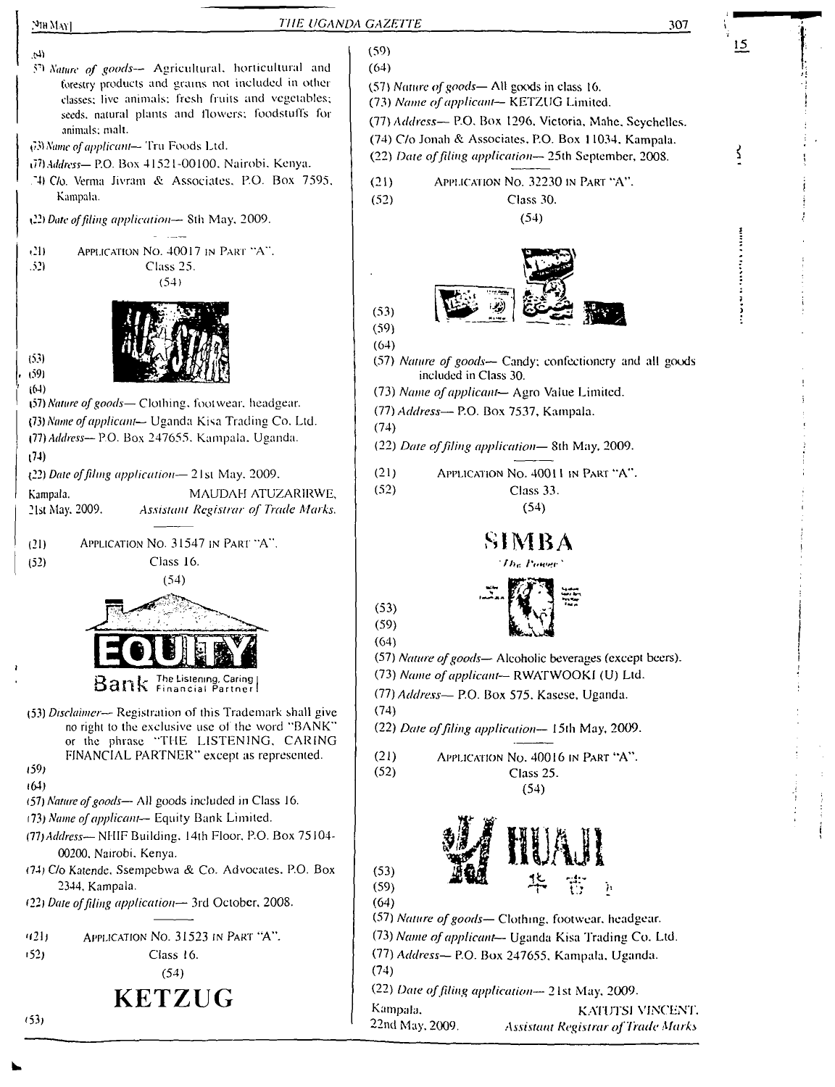| THE UGANDA GAZETTE<br>$[9]$ IH MAY]                                                                                                                                                                                                                                                                                                                                                                                                                                                             | 307                                                                                                                                                                                                                                                                                                                                                                                                                                                              |
|-------------------------------------------------------------------------------------------------------------------------------------------------------------------------------------------------------------------------------------------------------------------------------------------------------------------------------------------------------------------------------------------------------------------------------------------------------------------------------------------------|------------------------------------------------------------------------------------------------------------------------------------------------------------------------------------------------------------------------------------------------------------------------------------------------------------------------------------------------------------------------------------------------------------------------------------------------------------------|
| (لم<br>50 Nature of goods-- Agricultural, horticultural and<br>forestry products and grains not included in other<br>classes; live animals; fresh fruits and vegetables;<br>seeds, natural plants and flowers; foodstuffs for<br>animals; malt.<br>(3) Name of applicant-Tru Foods Ltd.<br>(77) Address- P.O. Box 41521-00100, Nairobi, Kenya.<br>74) C/o. Verma Jivram & Associates, P.O. Box 7595,<br>Kampala.<br>(22) Date of filing application— 8th May, 2009.                             | <u>15</u><br>(59)<br>(64)<br>(57) Nature of goods—All goods in class 16.<br>(73) Name of applicant-- KETZUG Limited.<br>(77) Address-- P.O. Box 1296, Victoria, Mahe, Seychelles.<br>(74) C/o Jonah & Associates, P.O. Box 11034, Kampala.<br>(22) Date of filing application-25th September, 2008.<br>APPLICATION NO. 32230 IN PART "A".<br>(21)<br>(52)<br>Class 30.<br>(54)                                                                                   |
| (21)<br>APPLICATION NO. 40017 IN PART "A".<br>(52)<br>Class 25.<br>(54)<br>(53)<br>(59)<br>(64)<br>(57) Nature of goods- Clothing, footwear, headgear.<br>(73) Name of applicant- Uganda Kisa Trading Co. Ltd.<br>(77) Address-- P.O. Box 247655. Kampala, Uganda.<br>(74)<br>(22) Date of filing application-21st May, 2009.<br>MAUDAH ATUZARIRWE,<br>Kampala.<br>21st May, 2009.<br>Assistant Registrar of Trade Marks.                                                                       | (53)<br>(59)<br>(64)<br>(57) Nature of goods- Candy; confectionery and all goods<br>included in Class 30.<br>(73) Name of applicant- Agro Value Limited.<br>(77) Address-P.O. Box 7537, Kampala.<br>(74)<br>(22) Date of filing application-8th May, 2009.<br>(21)<br>APPLICATION No. 40011 IN PART "A".<br>(52)<br>Class 33.<br>(54)                                                                                                                            |
| APPLICATION NO. 31547 IN PART "A".<br>(21)<br>Class 16.<br>(52)<br>(54)<br>Bank The Listening, Caring<br>(53) Disclaimer— Registration of this Trademark shall give<br>no right to the exclusive use of the word "BANK"<br>or the phrase "THE LISTENING, CARING                                                                                                                                                                                                                                 | SIMBA<br>The Panel<br>(53)<br>(59)<br>(64)<br>(57) Nature of goods- Alcoholic beverages (except beers).<br>(73) Name of applicant-- RWATWOOKI (U) Ltd.<br>(77) Address- P.O. Box 575. Kasese, Uganda.<br>(74)<br>(22) Date of filing application-15th May, 2009.                                                                                                                                                                                                 |
| FINANCIAL PARTNER" except as represented.<br>(59)<br>(64)<br>(57) Nature of goods- All goods included in Class 16.<br>(73) Name of applicant-- Equity Bank Limited.<br>(77) Address- NHIF Building, 14th Floor, P.O. Box 75104-<br>00200, Nairobi, Kenya.<br>(74) C/o Katende, Ssempebwa & Co. Advocates, P.O. Box<br>2344, Kampala.<br>(22) Date of filing application-3rd October, 2008.<br>APPLICATION NO. 31523 IN PART "A".<br>(121)<br>1521<br>Class 16.<br>(54)<br><b>KETZUG</b><br>(53) | (21)<br>APPLICATION No. 40016 IN PART "A".<br>(52)<br>Class 25.<br>(54)<br>(53)<br>$\mathcal{L}_{\mathcal{M}}$<br>'n<br>(59)<br>(64)<br>(57) Nature of goods— Clothing, footwear, headgear.<br>(73) Name of applicant- Uganda Kisa Trading Co. Ltd.<br>(77) Address-P.O. Box 247655, Kampala, Uganda.<br>(74)<br>(22) Date of filing application-21st May, 2009.<br>Kampala,<br>KATUTSI VINCENT.<br>22nd May, 2009.<br><b>Assistant Registrar of Trade Marks</b> |

J

Í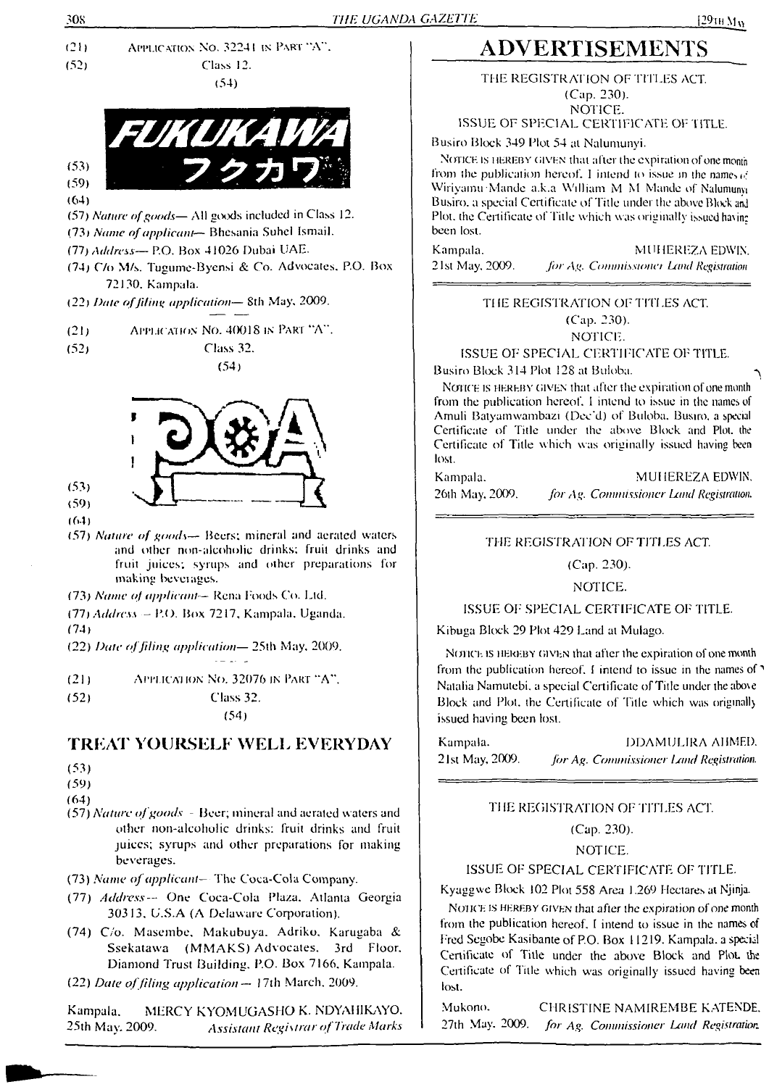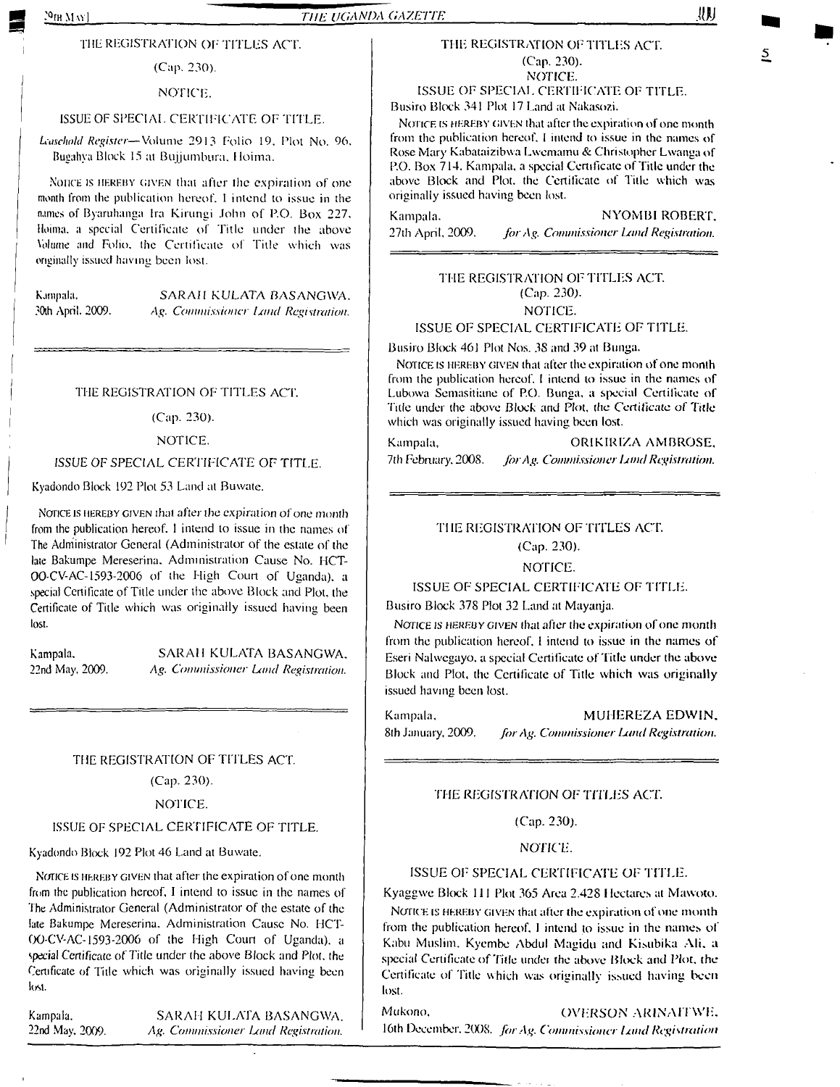### THE REGISTRATION OF TITLES ACT.

(Cap. 230).

### NOTICE.

### ISSUE OF SPECIAL CERTIFICATE OF TITLE.

*Leasehold Register—*Volume 2913 Folio 19. Plot No. 96. Bugahya Block <sup>15</sup> at Bujumbura. Hoima.

Nonce is hereby given that after the expiration of one month from the publication hereof. <sup>I</sup> intend to issue in the names of Byaruhanga Ira Kirungi John of P.O. Box 227. Hoima. a special Certificate of Title under the above Volume and Folio, the Certificate of Title which was originally issued having been lost.

Kampala, SARAH KULATA BASANGWA. 30th April. 2009. Ag. Commissioner *Land Registration*.

#### THE REGISTRATION OF TITLES ACT.

(Cap. 230).

#### NOTICE.

#### ISSUE OF SPECIAL CERTIFICATE OF TITLE.

Kyadondo Block 192 Plot 53 Land at Buwate.

NOTICE IS HEREBY GIVEN that after the expiration of one month from the publication hereof. <sup>I</sup> intend to issue in the names of The Administrator General (Administrator of the estate of the late Bakumpe Mereserina. Administration Cause No. HCT-00-CV-AC-1593-2006 of the High Court of Uganda), a special Certificate of Title under the above Block and Plot, the Certificate of Title which was originally issued having been lost.

Kampala. 22nd May. 2009.

SARAH KULATA BASANGWA. *Ag. Commissioner Land Registration.*

#### THE REGISTRATION OF TITLES ACT.

(Cap. 230).

#### NOTICE.

#### ISSUE OF SPECIAL CERTIFICATE OF TITLE.

Kyadondo Block 192 Plot 46 Land at Buwate.

NOTICE IS HEREBY GIVEN that after the expiration of one month from the publication hereof. I intend to issue in the names of The Administrator General (Administrator of the estate of the late Bakumpe Mcreserina. Administration Cause No. HCT-00-CV-AC-1593-2006 of the High Court of Uganda), a *special* Certificate *of Title* under (he above Block and Plot, the Certificate of Title which was originally issued having been lost.

Kampala. SARAH KULATA BASANGWA. 22nd May. 2009. *Ag. Commissioner Land Registration.*

## THE REGISTRATION OF TITLES ACT. (Cap. 230). NOTICE.

#### ISSUE OF SPECIAL CERTIFICATE OF TITLE. Busiro Block 341 Plot 17 Land at Nakasozi.

NOTICE IS HEREBY GIVEN that after the expiration of one month from the publication hereof. <sup>1</sup> intend to issue in the names of Rose Mary Kabataizibwa Lwemamu & Christopher Lwanga of P.O. Box 714. Kampala, a special Certificate of Title under the above Block and Plot, the Certificate of Title which was originally issued having been lost.

Kampala. NYOMBI ROBERT. 27th April. 2009. *forAg. Commissioner Land Registration.*

### THE REGISTRATION OF TITLES ACT. (Cap. 230). NOTICE.

#### ISSUE OF SPECIAL CERTIFICATE OF TITLE.

Busiro Block 461 Plot Nos. 38 and 39 at Bunga.

Notice is hereby given that after the expiration of one month from the publication hereof. <sup>I</sup> intend to issue in the names of Lubowa Semasitiane of P.O. Bunga, a special Certificate of Title under the above Block and Plot, the Certificate of Title which was originally issued having been lost.

Kampala, ORIKIRIZA AMBROSE, 7th February. 2008. *forAg. Commissionerlamd Registration.*

## THE REGISTRATION OF TITLES ACT.

# (Cap. 230).

## NOTICE.

## ISSUE OF SPECIAL CERTIFICATE OF TITLE.

Busiro Block 378 Plot 32 Land at Mayanja.

NOTICE IS HEREBY GIVEN that after the expiration of one month from the publication hereof. <sup>I</sup> intend to issue in the names of Eseri Nalwegayo. a special Certificate of Title under the above Block and Plot, the Certificate of Title which was originally issued having been lost.

Kampala, MUHEREZA EDWIN. 8th January, 2009. *for Ag. Commissioner Land Registration*.

#### THE REGIST RATION OF *TITLES ACT.*

#### (Cap. 230).

NOTICE.

#### ISSUE OF SPECIAL CERTIFICATE OF TITLE.

Kyaggwe Block 111 Plot 365 Area 2.428 <sup>I</sup> lectures at Mawoto.

Notice is hereby given that after the expiration of one month from the publication hereof. <sup>I</sup> intend to issue in the names of Kabu Muslim. Kyembe Abdul Magidu and Kisubika Ali, a special Certificate of Tide under the above Block and Plot, the Certificate of Title which was originally issued having been lost.

Mukono. OVERSON AR1NAITWE. 16th December. 2008. *forAg. Commissioner limd Registration*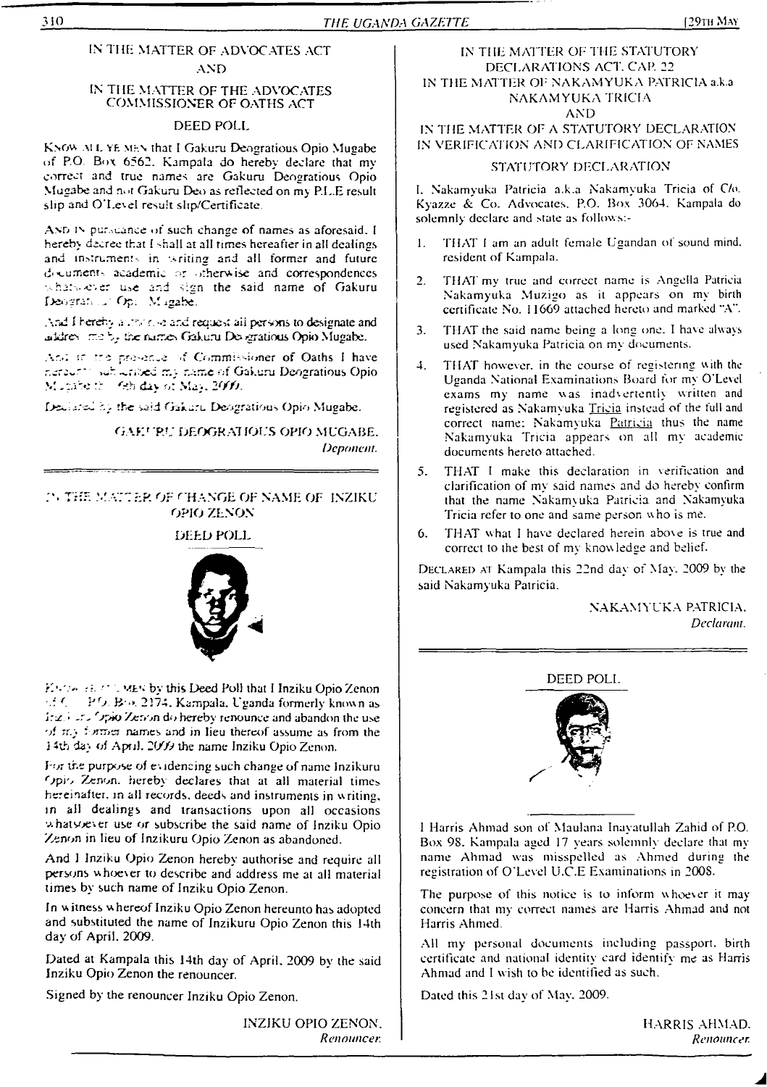## IN Till: MATTER OF ADVOCATES ACT AND

### IN THE MATTER OF THE ADVOCATES COMMISSIONER OF OATHS ACT

## DEED POLL

Know ai L YE men that <sup>I</sup> Gakuru Deogratious Opio Mugabe of P.O Box 6562. Kampala do hereby declare that my correct and true names are Gakuru Deogratious Opio Mugabe and not Gakuru Deo as reflected on my P.L.E result slip and O'Level result shp/Certificate.

AND IN pursuance of such change of names as aforesaid. I hereby decree that I shall at all times hereafter in all dealings and instruments in writing and all former and future d-^ument'. academic -nherutse and correspondences whats ever use and sign the said name of Gakuru Deoarat; & Op. M igabe.

And I hereby a record and request all persons to designate and uidro- me by the names Gakuru Dex gratious Opio Mugabe.

Ar.d. in the pre-ence of Commissioner of Oaths I have riereur<sup>11</sup> subscribed my name of Gakuru Deogratious Opio. Mutabe from Ghilday of May. 2000.

the wid Gakuru Deogratious Opio Mugabe.

GAKERU DEOGRATIOUS OPIO MUGABE. *Deponent.*

### *?. TrIE* MA77ER Or CHANGE OF NAME OF INZIKU OPIO ZENON

### DEED POLL



**ENDA BENT I MEN by this Deed Poll that I Inziku Opio Zenon** *:Jfj* B->. 2174. Kampala. Uganda formerly known as *ing.* Fig. Opio Zenon do hereby renounce and abandon the use of  $\pi$ . To then names and in lieu thereof assume as from the j 4xh da;, of Apnl. 2009 the name Inziku Opio Zenon.

For the purpose of ev idencing such change of name Jnzikuru Opio Zenon, hereby declares that at all material times hereinafter, in all records. deeds and instruments in writing, in all dealings and transactions upon all occasions whatsoever use or subscribe the said name of Inziku Opio Zenon in lieu of Inzikuru Opio Zenon as abandoned.

And <sup>1</sup> Inziku Opio Zenon hereby authorise and require all persons whoever to describe and address me at all material times by such name of Inziku Opio Zenon.

In witness whereof Inziku Opio Zenon hereunto has adopted and substituted the name of Inzikuru Opio Zenon this 14th day of April. 2009.

Dated at Kampala this 14th day of April. 2009 by the said Inziku Opio Zenon the renouncer.

Signed by the renouncer Inziku Opio Zenon.

INZIKU OPIO ZENON. *Renouncer.*

## IN THE MATTER OF THE STATUTORY DECLARATIONS ACT. CAP. 22 IN THE MATTER OF NAKAMYUKA PATRICIA a.k.a NAKAMYUKA TRICIA

### AND

IN THE MATTER OF A STATUTORY DECLARATION IN VERIFICATION AND CLARIFICATION OF NAMES

### STATUTORY DECLARATION

I. Nakamyuka Patricia a.k.a Nakamyuka Tricia of C/o. Kyazze &. Co. Advocates. P.O. Box 3064. Kampala do solemnly declare and state as follows:-

- 1. THAT <sup>I</sup> am an adult female Ugandan of sound mind, resident of Kampala.
- 2. THAT my true and correct name is Angella Patricia Nakamyuka Muzigo as it appears on my birth certificate No. 11669 attached hereto and marked "A".
- 3. THAT the said name being a long one. I have always used Nakamyuka Patricia on my documents.
- 4. THAT however, in the course of registering with the Uganda National Examinations Board for my O'Level exams my name was inadvertently written and registered as Nakamyuka Tricia instead of the full and correct name: Nakamyuka Patricia thus the name Nakamyuka Tricia appears on all my academic documents hereto attached.
- 5. THAT <sup>I</sup> make this declaration in verification and clarification of my said names and do hereby confirm that the name Nakamyuka Patricia and Nakamyuka Tricia refer to one and same person who is me.
- 6. THAT what <sup>I</sup> have declared herein above is true and correct to the best of my knowledge and belief.

Declared at Kampala this 22nd day of May. 2009 by the said Nakamyuka Patricia.

### NAKAMYUKA PATRICIA. *Declarant.*



1 Harris Ahmad son of Maulana Inayatullah Zahid of P.O. Box 9S. Kampala aged 17 years solemnly declare that my name Ahmad was misspelled as Ahmed during the registration of O'Level U.C.E Examinations in 200S.

The purpose of this notice is to inform whoever it may concern that my correct names are Harris Ahmad and not Harris Ahmed.

All my personal documents including passport, birth certificate and national identity card identify me as Harris Ahmad and <sup>I</sup> wish to be identified as such.

Dated this 21st day of May. 2009.

Harris ahmad. *Renouncer.*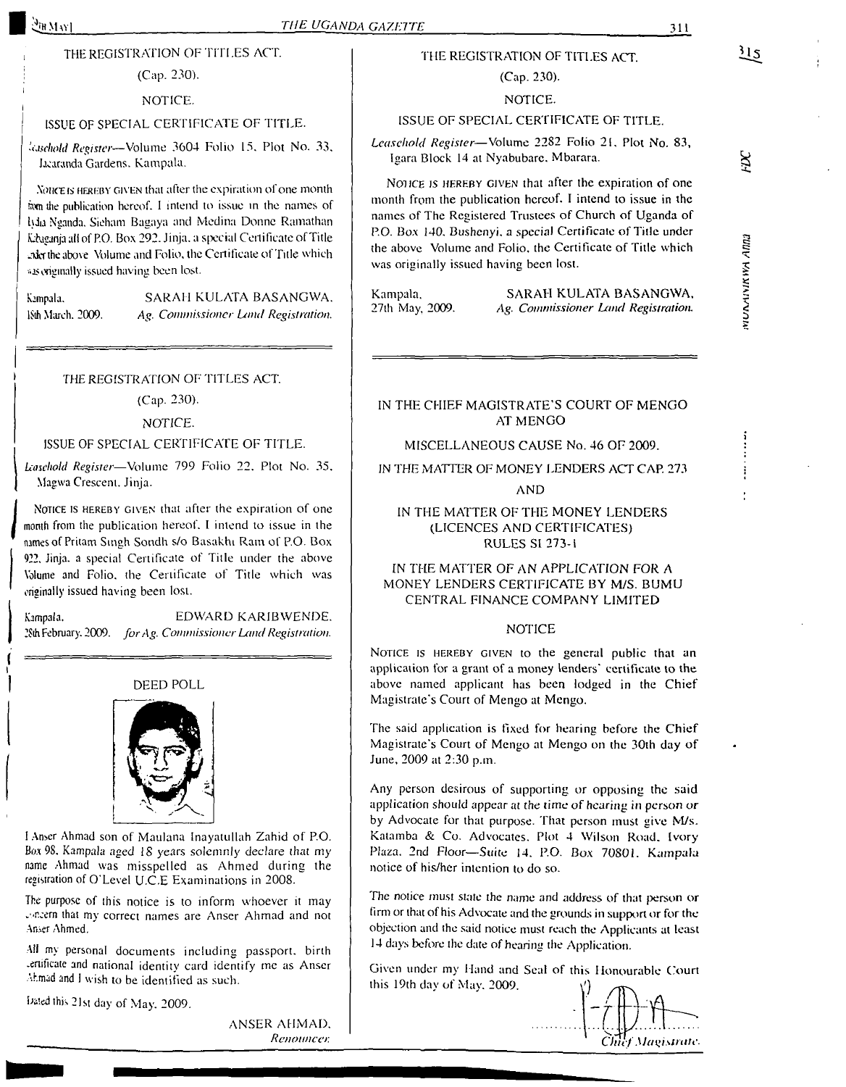### $\mathbb{C}_{\mathrm{BMM}}$

#### *THE UGANDA GAZETTE* 311

## THE REGISTRATION OF TITLES ACT.

# (Cap. 230).

### NOTICE.

#### ISSUE OF SPECIAL CERTIFICATE OF TITLE.

*Register—*Volume 3604 Folio 15. Plot No. 33, hcaranda Gardens. Kampala.

NORCE IS HEREBY GIVEN that after the expiration of one month swn die publication hereof. <sup>1</sup> intend to issue in the names of IvJa Nganda, Sieham Bagaya and Medina Donne Ramathan Kabaganja all of P.O. Box 292. Jinja. a special Certificate of Title ederlhe above Volume and Folio, the Certificate of Title which as originally issued having been lost.

Kampala. SARAH KULATA BASANGWA. ISth March. 2009. Ag. *Commissioner Land Registration.*

#### *THE* REGISTRATION OF TITLES ACT.

(Cap. 230).

#### NOTICE.

#### ISSUE OF SPECIAL CERTIFICATE OF TITLE.

*Leasehold Register—*Volume 799 Folio 22. Plot No. 35. Magwa Crescent. Jinja.

Notice is hereby Given that after the expiration of one month from the publication hereof. <sup>I</sup> intend to issue in the dimes of Pritam Singh Sondh s/o Basakhi Ram of P.O. Box 922. Jinja. a special Certificate of Title under the above Volume and Folio, the Certificate of Title which was originally issued having been lost.

Kampala. EDWARD KARIBWENDE. 2Sth February. 2009. *forAg. Commissioner Land Registration.*



<sup>1</sup> Anser Ahmad son of Maulana Inayatullah Zahid of P.O. Box 98. Kampala aged 18 years solemnly declare that my name Ahmad was misspelled as Ahmed during the registration of O'Level U.C.E Examinations in 2008.

The purpose of this notice is to inform whoever it may vincern that my correct names are Anser Ahmad and not Anser Ahmed.

All my personal documents including passport, birth .ertincate and national identity card identify me as Anser Ahmad and <sup>I</sup> wish to be identified as such.

bated this 21st day of May. 2009.

ANSER AHMAD. *Renounce):*

## THE REGISTRATION OF TITLES ACT. (Cap. 230).

#### NOTICE.

#### ISSUE OF SPECIAL CERTIFICATE OF TITLE.

*Leasehold Register—*Volume 22S2 Folio 21. Plot No. 83, Igara Block 14 at Nyabubarc. Mbarara.

Notice *is* hereby given that after the expiration of one month from lhe publication hereof. I intend to issue in the names of The Registered Trustees of Church of Uganda of P.O. Box 140. Bushenyi. a special Certificate of Tide under the above Volume and Folio, the Certificate of Title which was originally issued having been lost.

Kampala, SARAH KULATA BASANGWA, 27th May, 2009. Ag. Commissioner Land Registration. 27th May. 2009. *Ag. Commissioner Land Registration.*

### IN THE CHIEF MAGISTRATE'S COURT OF MENGO AT MENGO

#### MISCELLANEOUS CAUSE No. 46 OF 2009.

### IN THE MATTER OF MONEY LENDERS ACT CAP. 273

#### AND

### IN THE MATTER OF THE MONEY LENDERS (LICENCES AND CERTIFICATES) RULES SI 273-<sup>1</sup>

### IN THE MATTER OF AN APPLICATION FOR A MONEY LENDERS CERTIFICATE BY M/S. BUMU CENTRAL FINANCE COMPANY LIMITED

#### NOTICE

NOTICE IS HEREBY GIVEN to the general public that an application for a grant of a money lenders' certificate to the above named applicant has been lodged in the Chief Magistrate's Court of Mengo at Mengo.

The said application is fixed for hearing before the Chief Magistrate's Court of Mengo at Mengo on the 30th day of June, 2009 at 2:30 p.in.

Any person desirous of supporting or opposing the said application should appear at the time of *hearing in* person or by Advocate for that purpose. That person must give M/s. Katamba & Co. Advocates. Plot 4 Wilson Road. Ivory Plaza. 2nd Floor—Suite 14. P.O. Box 70801. Kampala notice of his/her intention to do so.

The notice must state the name and address of that person or firm or that of his Advocate and the grounds in support or for the objection and the said notice must reach the Applicants at least 14 days before the date of hearing the Application.

Given under my Hand and Seal of this Honourable Court ihis 19th day of May. 2009.



# $\overline{12}$

 $\aleph$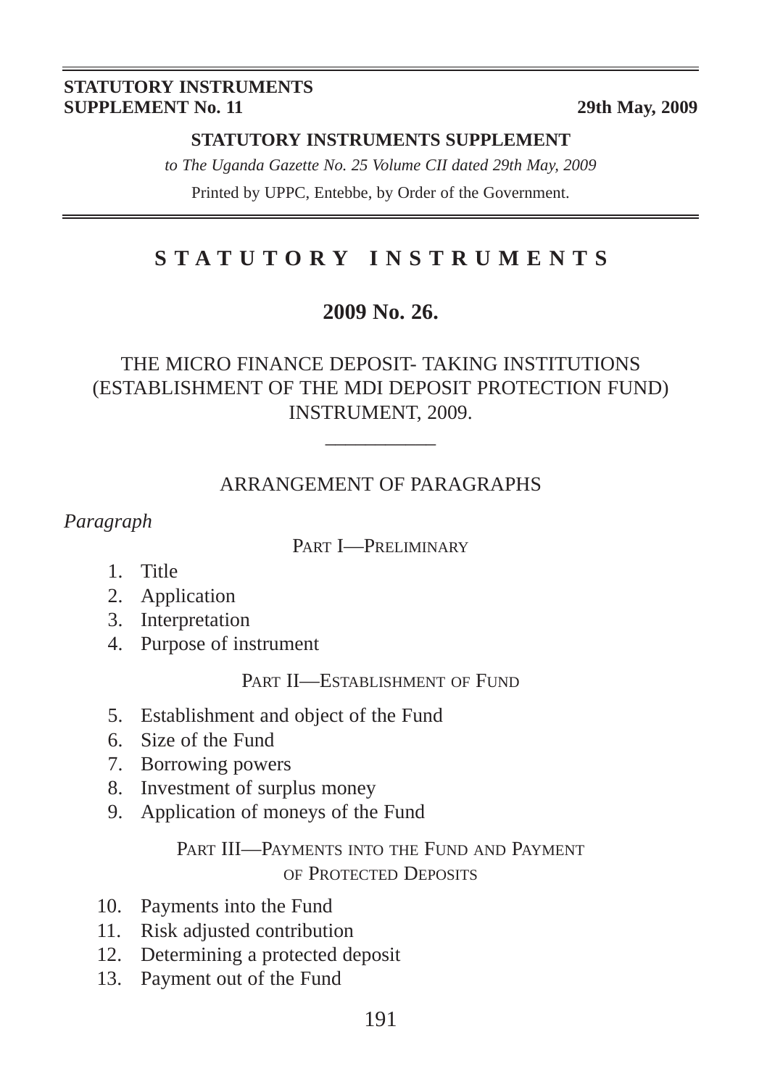#### **STATUTORY INSTRUMENTS SUPPLEMENT No. 11** 29th May, 2009

### **STATUTORY INSTRUMENTS SUPPLEMENT**

*to The Uganda Gazette No. 25 Volume CII dated 29th May, 2009* Printed by UPPC, Entebbe, by Order of the Government.

# **STATUTORY INSTRUMENTS**

## **2009 No. 26.**

## THE MICRO FINANCE DEPOSIT- TAKING INSTITUTIONS (ESTABLISHMENT OF THE MDI DEPOSIT PROTECTION FUND) INSTRUMENT, 2009.

## ARRANGEMENT OF PARAGRAPHS

 $\overline{\phantom{a}}$ 

*Paragraph*

### PART I—PRELIMINARY

- 1. Title
- 2. Application
- 3. Interpretation
- 4. Purpose of instrument

### PART **II—ESTABLISHMENT** OF FUND

- 5. Establishment and object of the Fund
- 6. Size of the Fund
- 7. Borrowing powers
- 8. Investment of surplus money
- 9. Application of moneys of the Fund

## PART III—PAYMENTS INTO THE FUND AND PAYMENT OF PROTECTED DEPOSITS

- 10. Payments into the Fund
- 11. Risk adjusted contribution
- 12. Determining a protected deposit
- 13. Payment out of the Fund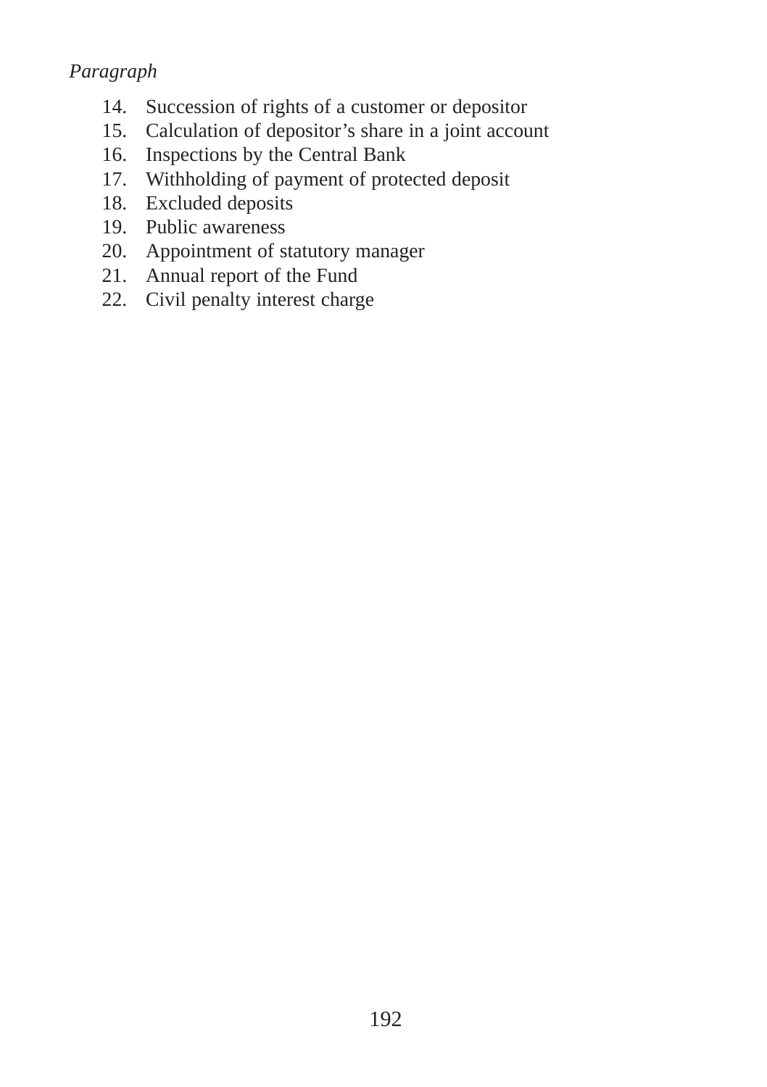## *Paragraph*

- 14. Succession of rights of a customer or depositor
- 15. Calculation of depositor's share in a joint account
- 16. Inspections by the Central Bank
- 17. Withholding of payment of protected deposit
- 18. Excluded deposits
- 19. Public awareness
- 20. Appointment of statutory manager
- 21. Annual report of the Fund
- 22. Civil penalty interest charge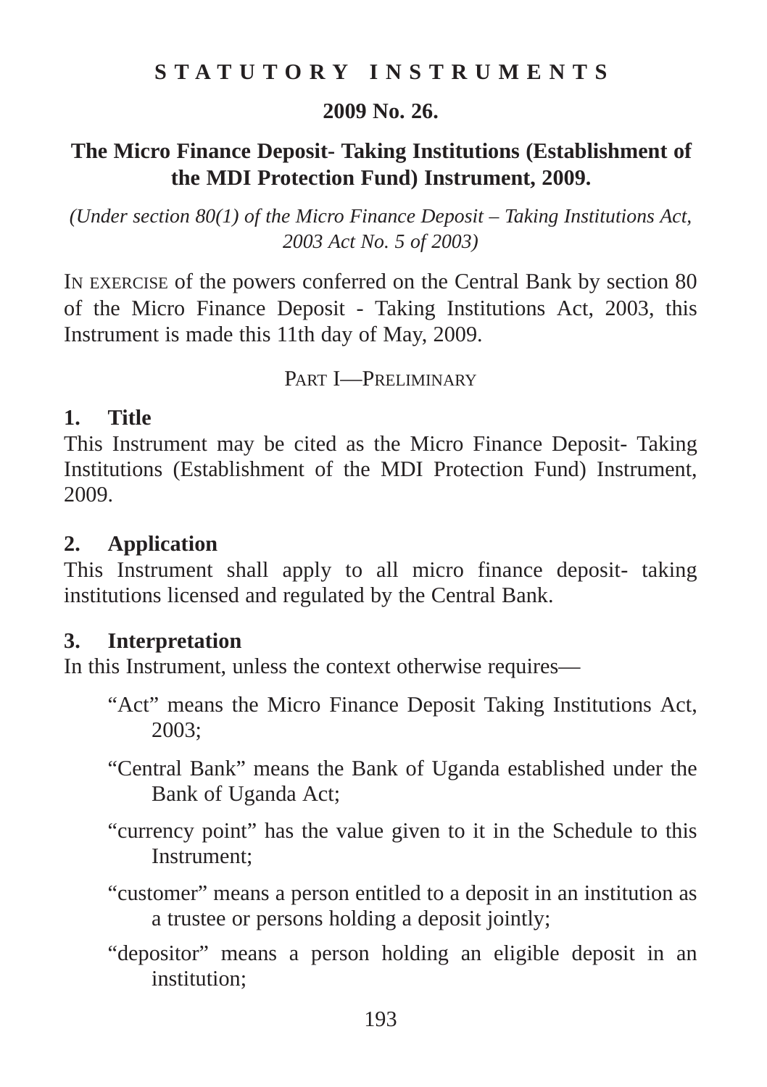## **STATUTORY INSTRUMENTS**

## **2009 No. 26.**

## **The Micro Finance Deposit- Taking Institutions (Establishment of the MDI Protection Fund) Instrument, 2009.**

*(Under section 80(1) of the Micro Finance Deposit – Taking Institutions Act, 2003 Act No. 5 of 2003)*

IN EXERCISE of the powers conferred on the Central Bank by section 80 of the Micro Finance Deposit - Taking Institutions Act, 2003, this Instrument is made this 11th day of May, 2009.

PART I—PRELIMINARY

### **1. Title**

This Instrument may be cited as the Micro Finance Deposit- Taking Institutions (Establishment of the MDI Protection Fund) Instrument, 2009.

## **2. Application**

This Instrument shall apply to all micro finance deposit- taking institutions licensed and regulated by the Central Bank.

## **3. Interpretation**

In this Instrument, unless the context otherwise requires—

- "Act" means the Micro Finance Deposit Taking Institutions Act, 2003;
- "Central Bank" means the Bank of Uganda established under the Bank of Uganda Act;
- "currency point" has the value given to it in the Schedule to this Instrument;
- "customer" means a person entitled to a deposit in an institution as a trustee or persons holding a deposit jointly;
- "depositor" means a person holding an eligible deposit in an institution;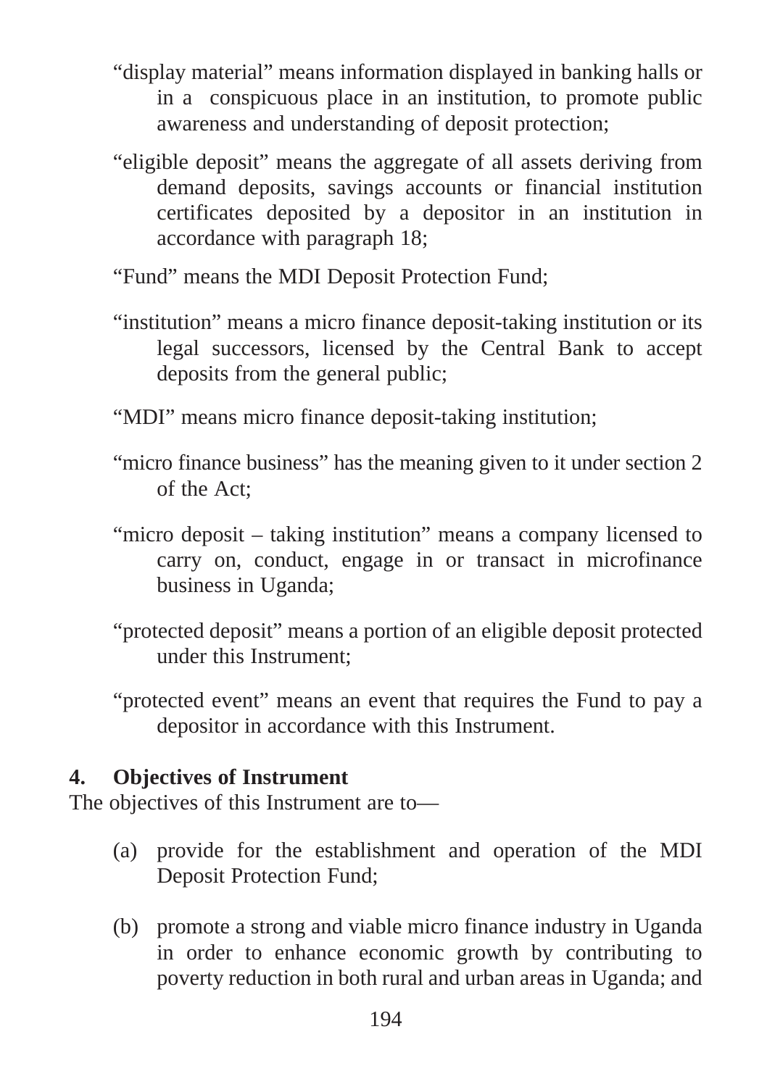- "display material" means information displayed in banking halls or in a conspicuous place in an institution, to promote public awareness and understanding of deposit protection;
- "eligible deposit" means the aggregate of all assets deriving from demand deposits, savings accounts or financial institution certificates deposited by a depositor in an institution in accordance with paragraph 18;
- "Fund" means the MDI Deposit Protection Fund;
- "institution" means a micro finance deposit-taking institution or its legal successors, licensed by the Central Bank to accept deposits from the general public;
- "MDI" means micro finance deposit-taking institution;
- "micro finance business" has the meaning given to it under section 2 of the Act;
- "micro deposit taking institution" means a company licensed to carry on, conduct, engage in or transact in microfinance business in Uganda;
- "protected deposit" means a portion of an eligible deposit protected under this Instrument;
- "protected event" means an event that requires the Fund to pay a depositor in accordance with this Instrument.

## **4. Objectives of Instrument**

The objectives of this Instrument are to—

- (a) provide for the establishment and operation of the MDI Deposit Protection Fund;
- (b) promote a strong and viable micro finance industry in Uganda in order to enhance economic growth by contributing to poverty reduction in both rural and urban areas in Uganda; and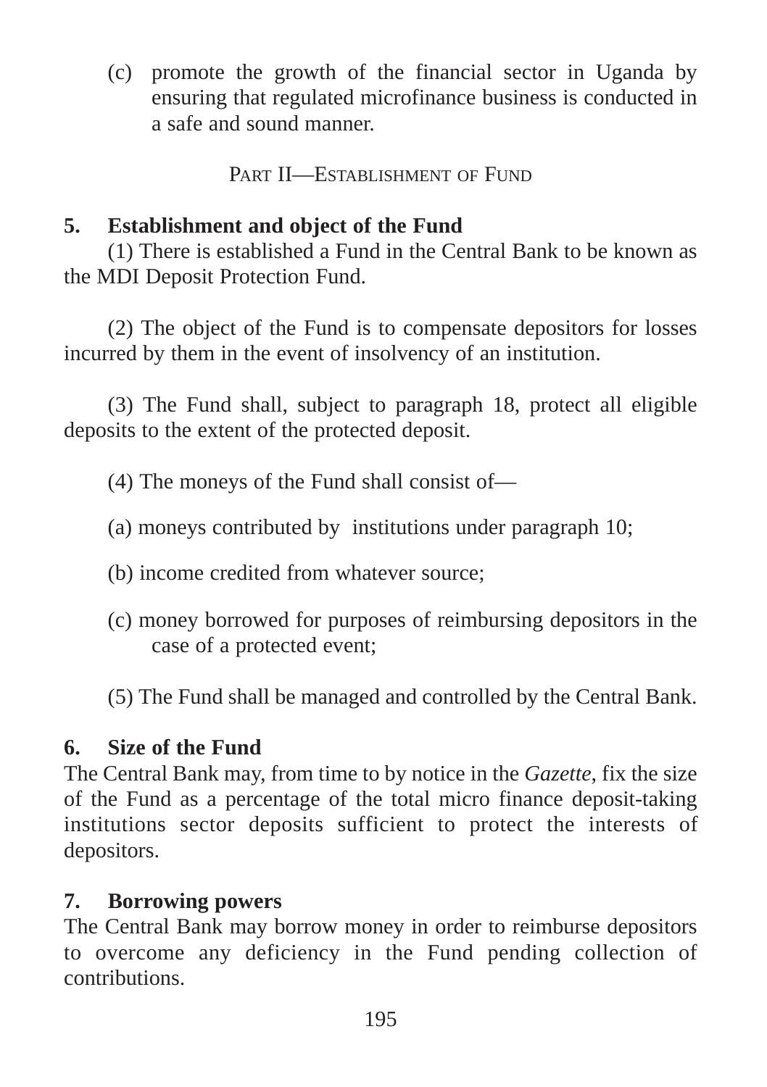(c) promote the growth of the financial sector in Uganda by ensuring that regulated microfinance business is conducted in a safe and sound manner.

PART II—ESTABLISHMENT OF FUND

# **5. Establishment and object of the Fund**

(1) There is established a Fund in the Central Bank to be known as the MDI Deposit Protection Fund.

(2) The object of the Fund is to compensate depositors for losses incurred by them in the event of insolvency of an institution.

(3) The Fund shall, subject to paragraph 18, protect all eligible deposits to the extent of the protected deposit.

(4) The moneys of the Fund shall consist of—

- (a) moneys contributed by institutions under paragraph 10;
- (b) income credited from whatever source;
- (c) money borrowed for purposes of reimbursing depositors in the case of a protected event;
- (5) The Fund shall be managed and controlled by the Central Bank.

# **6. Size of the Fund**

The Central Bank may, from time to by notice in the *Gazette*, fix the size of the Fund as a percentage of the total micro finance deposit-taking institutions sector deposits sufficient to protect the interests of depositors.

# **7. Borrowing powers**

The Central Bank may borrow money in order to reimburse depositors to overcome any deficiency in the Fund pending collection of contributions.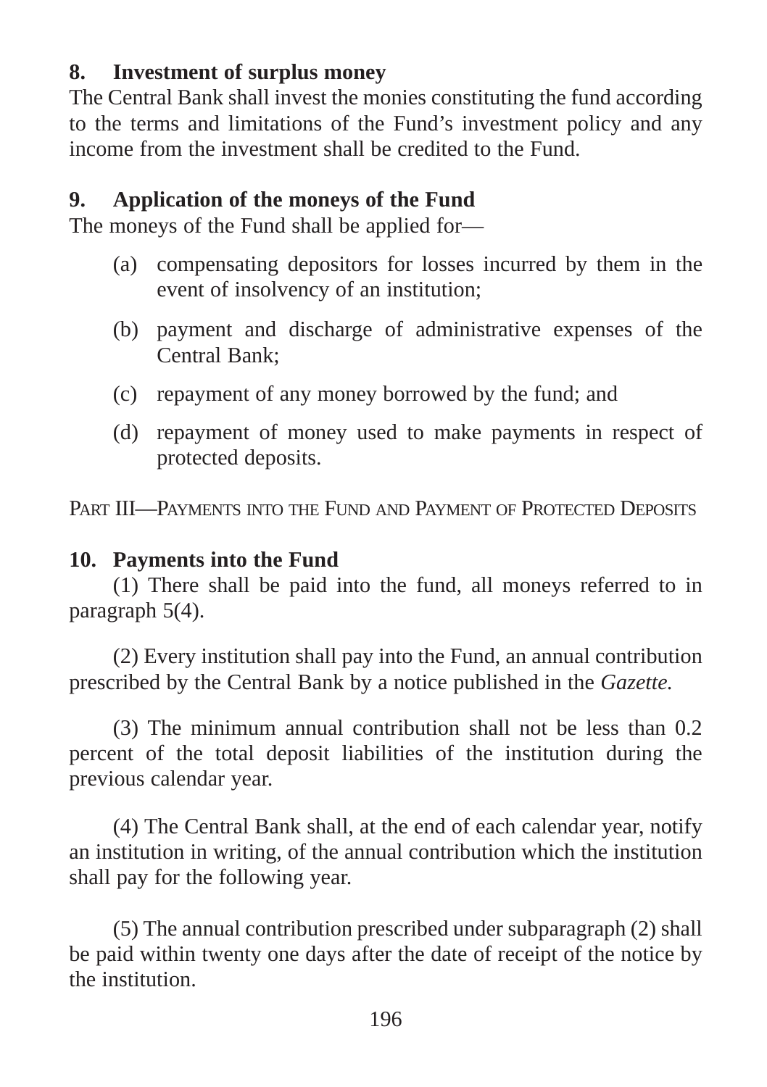## **8. Investment of surplus money**

The Central Bank shall invest the monies constituting the fund according to the terms and limitations of the Fund's investment policy and any income from the investment shall be credited to the Fund.

## **9. Application of the moneys of the Fund**

The moneys of the Fund shall be applied for—

- (a) compensating depositors for losses incurred by them in the event of insolvency of an institution;
- (b) payment and discharge of administrative expenses of the Central Bank;
- (c) repayment of any money borrowed by the fund; and
- (d) repayment of money used to make payments in respect of protected deposits.

PART III—PAYMENTS INTO THE FUND AND PAYMENT OF PROTECTED DEPOSITS

## **10. Payments into the Fund**

(1) There shall be paid into the fund, all moneys referred to in paragraph 5(4).

(2) Every institution shall pay into the Fund, an annual contribution prescribed by the Central Bank by a notice published in the *Gazette.*

(3) The minimum annual contribution shall not be less than 0.2 percent of the total deposit liabilities of the institution during the previous calendar year.

(4) The Central Bank shall, at the end of each calendar year, notify an institution in writing, of the annual contribution which the institution shall pay for the following year.

(5) The annual contribution prescribed under subparagraph (2) shall be paid within twenty one days after the date of receipt of the notice by the institution.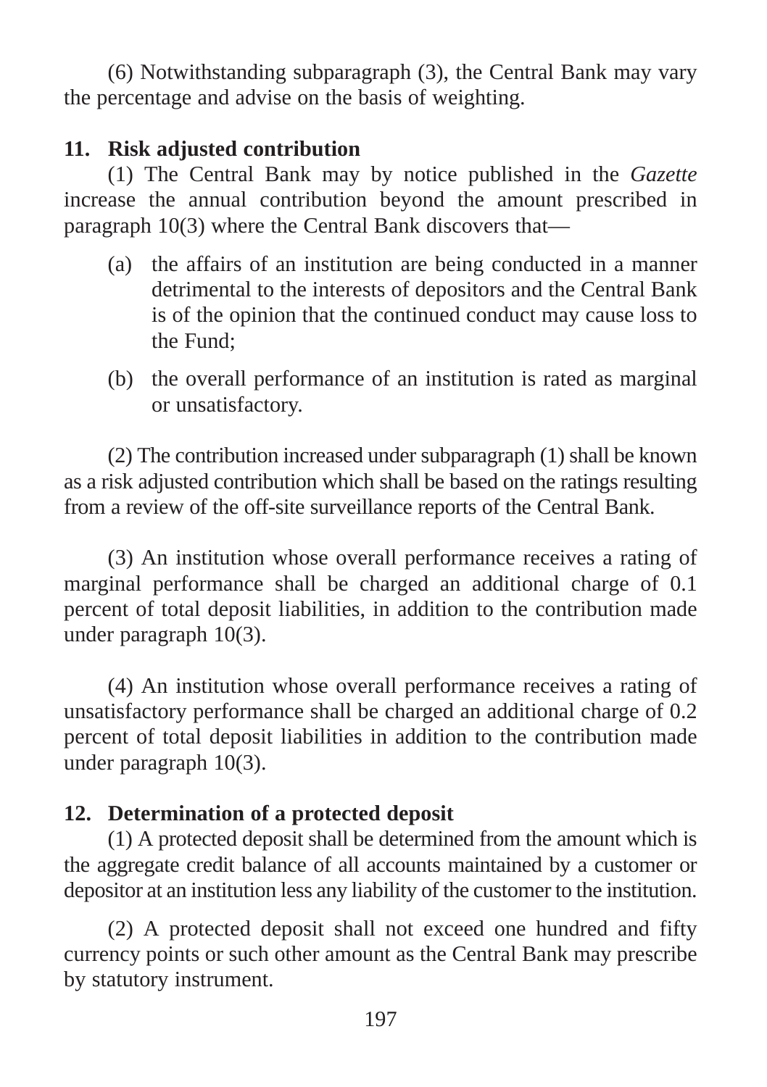(6) Notwithstanding subparagraph (3), the Central Bank may vary the percentage and advise on the basis of weighting.

## **11. Risk adjusted contribution**

(1) The Central Bank may by notice published in the *Gazette* increase the annual contribution beyond the amount prescribed in paragraph 10(3) where the Central Bank discovers that—

- (a) the affairs of an institution are being conducted in a manner detrimental to the interests of depositors and the Central Bank is of the opinion that the continued conduct may cause loss to the Fund;
- (b) the overall performance of an institution is rated as marginal or unsatisfactory.

(2) The contribution increased under subparagraph (1) shall be known as a risk adjusted contribution which shall be based on the ratings resulting from a review of the off-site surveillance reports of the Central Bank.

(3) An institution whose overall performance receives a rating of marginal performance shall be charged an additional charge of 0.1 percent of total deposit liabilities, in addition to the contribution made under paragraph 10(3).

(4) An institution whose overall performance receives a rating of unsatisfactory performance shall be charged an additional charge of 0.2 percent of total deposit liabilities in addition to the contribution made under paragraph 10(3).

## **12. Determination of a protected deposit**

(1) A protected deposit shall be determined from the amount which is the aggregate credit balance of all accounts maintained by a customer or depositor at an institution less any liability of the customer to the institution.

(2) A protected deposit shall not exceed one hundred and fifty currency points or such other amount as the Central Bank may prescribe by statutory instrument.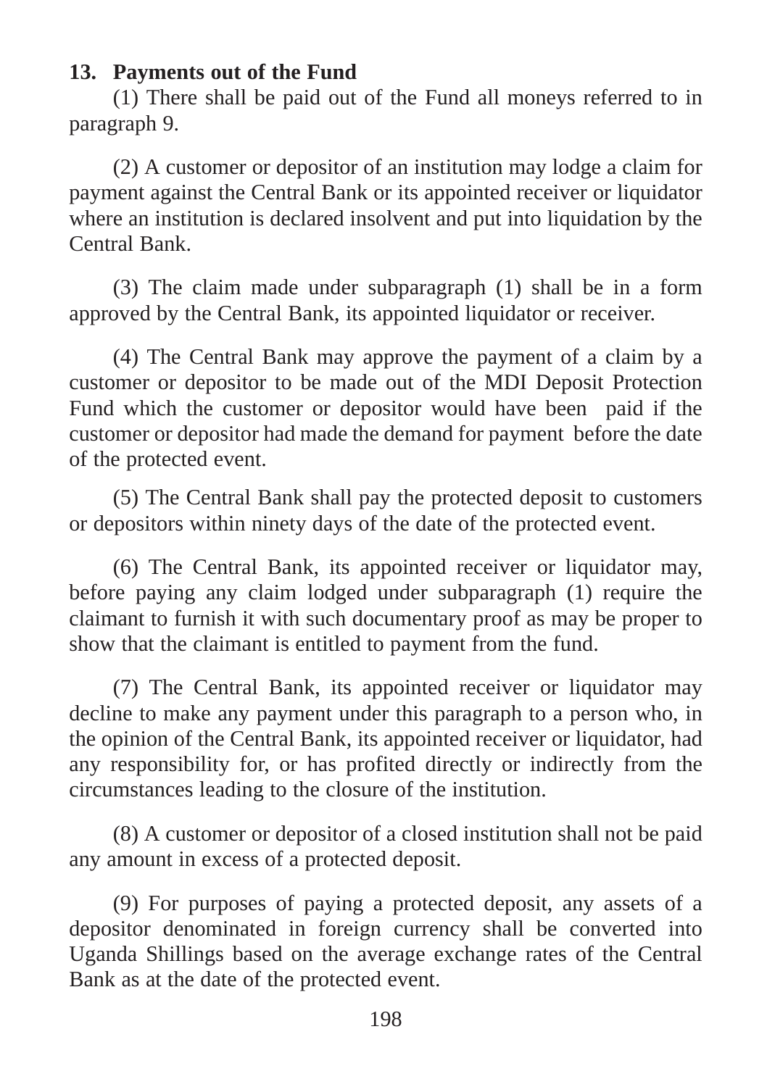## **13. Payments out of the Fund**

(1) There shall be paid out of the Fund all moneys referred to in paragraph 9.

(2) A customer or depositor of an institution may lodge a claim for payment against the Central Bank or its appointed receiver or liquidator where an institution is declared insolvent and put into liquidation by the Central Bank.

(3) The claim made under subparagraph (1) shall be in a form approved by the Central Bank, its appointed liquidator or receiver.

(4) The Central Bank may approve the payment of a claim by a customer or depositor to be made out of the MDI Deposit Protection Fund which the customer or depositor would have been paid if the customer or depositor had made the demand for payment before the date of the protected event.

(5) The Central Bank shall pay the protected deposit to customers or depositors within ninety days of the date of the protected event.

(6) The Central Bank, its appointed receiver or liquidator may, before paying any claim lodged under subparagraph (1) require the claimant to furnish it with such documentary proof as may be proper to show that the claimant is entitled to payment from the fund.

(7) The Central Bank, its appointed receiver or liquidator may decline to make any payment under this paragraph to a person who, in the opinion of the Central Bank, its appointed receiver or liquidator, had any responsibility for, or has profited directly or indirectly from the circumstances leading to the closure of the institution.

(8) A customer or depositor of a closed institution shall not be paid any amount in excess of a protected deposit.

(9) For purposes of paying a protected deposit, any assets of a depositor denominated in foreign currency shall be converted into Uganda Shillings based on the average exchange rates of the Central Bank as at the date of the protected event.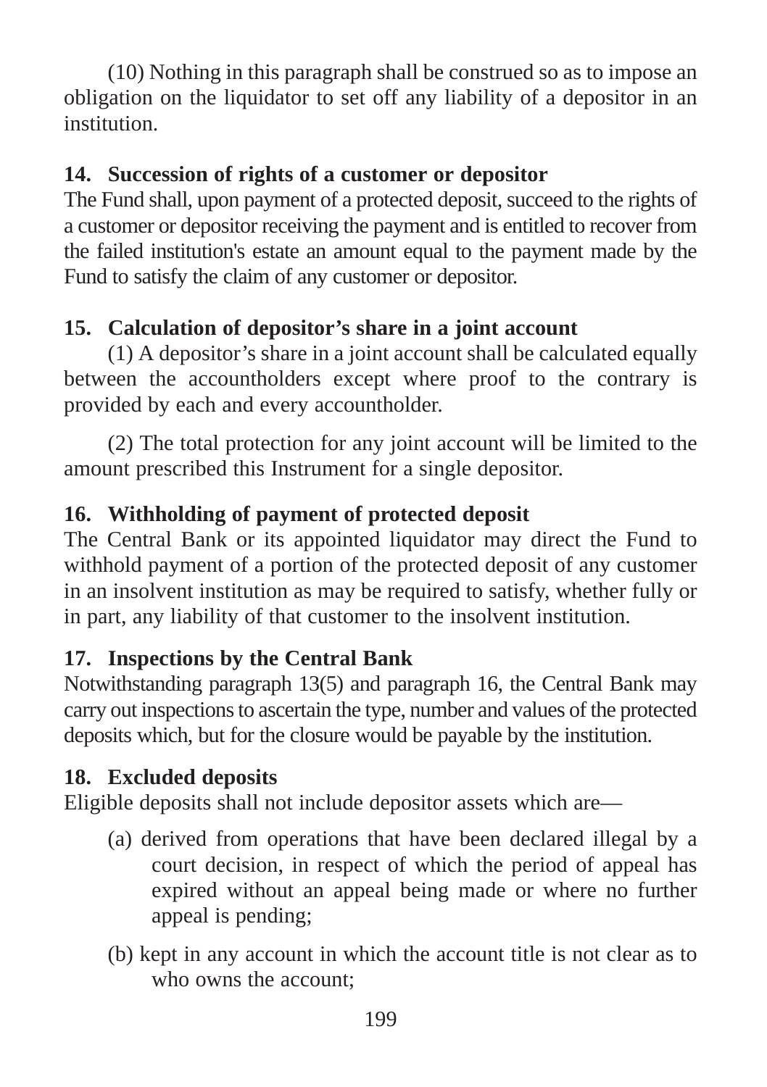(10) Nothing in this paragraph shall be construed so as to impose an obligation on the liquidator to set off any liability of a depositor in an institution.

# **14. Succession of rights of a customer or depositor**

The Fund shall, upon payment of a protected deposit, succeed to the rights of a customer or depositor receiving the payment and is entitled to recover from the failed institution's estate an amount equal to the payment made by the Fund to satisfy the claim of any customer or depositor.

# **15. Calculation of depositor's share in a joint account**

(1) A depositor's share in a joint account shall be calculated equally between the accountholders except where proof to the contrary is provided by each and every accountholder.

(2) The total protection for any joint account will be limited to the amount prescribed this Instrument for a single depositor.

# **16. Withholding of payment of protected deposit**

The Central Bank or its appointed liquidator may direct the Fund to withhold payment of a portion of the protected deposit of any customer in an insolvent institution as may be required to satisfy, whether fully or in part, any liability of that customer to the insolvent institution.

# **17. Inspections by the Central Bank**

Notwithstanding paragraph 13(5) and paragraph 16, the Central Bank may carry out inspections to ascertain the type, number and values of the protected deposits which, but for the closure would be payable by the institution.

# **18. Excluded deposits**

Eligible deposits shall not include depositor assets which are—

- (a) derived from operations that have been declared illegal by a court decision, in respect of which the period of appeal has expired without an appeal being made or where no further appeal is pending;
- (b) kept in any account in which the account title is not clear as to who owns the account;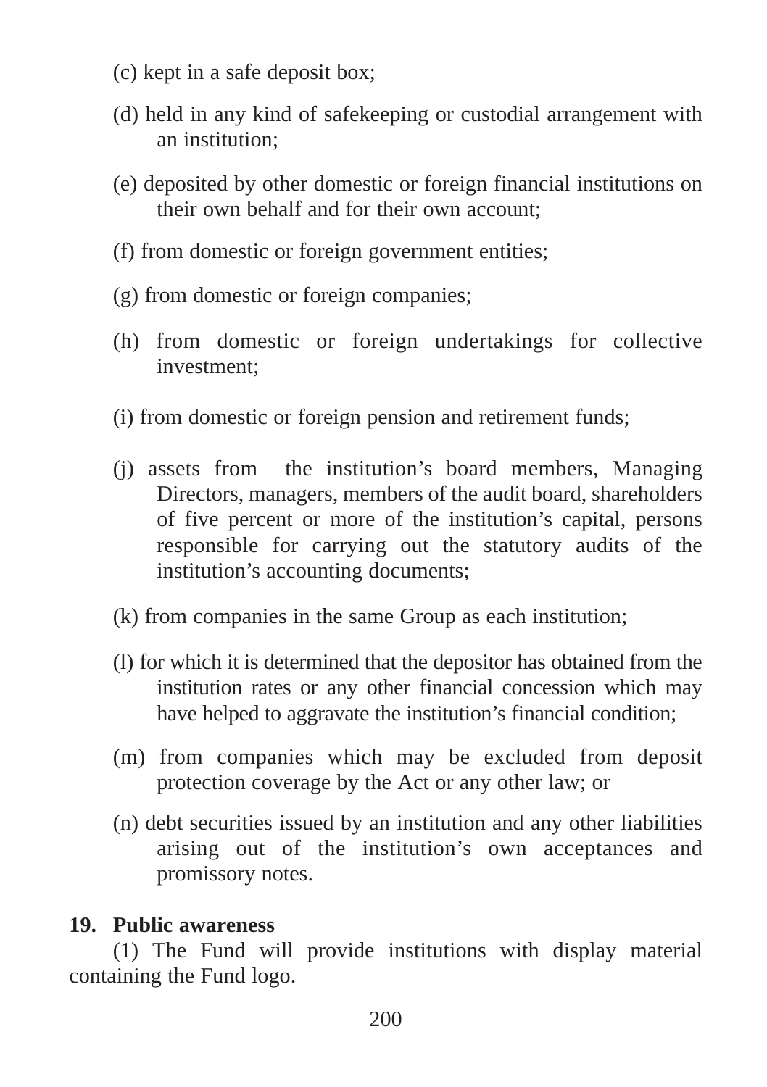- (c) kept in a safe deposit box;
- (d) held in any kind of safekeeping or custodial arrangement with an institution;
- (e) deposited by other domestic or foreign financial institutions on their own behalf and for their own account;
- (f) from domestic or foreign government entities;
- (g) from domestic or foreign companies;
- (h) from domestic or foreign undertakings for collective investment;
- (i) from domestic or foreign pension and retirement funds;
- (j) assets from the institution's board members, Managing Directors, managers, members of the audit board, shareholders of five percent or more of the institution's capital, persons responsible for carrying out the statutory audits of the institution's accounting documents;
- (k) from companies in the same Group as each institution;
- (l) for which it is determined that the depositor has obtained from the institution rates or any other financial concession which may have helped to aggravate the institution's financial condition;
- (m) from companies which may be excluded from deposit protection coverage by the Act or any other law; or
- (n) debt securities issued by an institution and any other liabilities arising out of the institution's own acceptances and promissory notes.

## **19. Public awareness**

(1) The Fund will provide institutions with display material containing the Fund logo.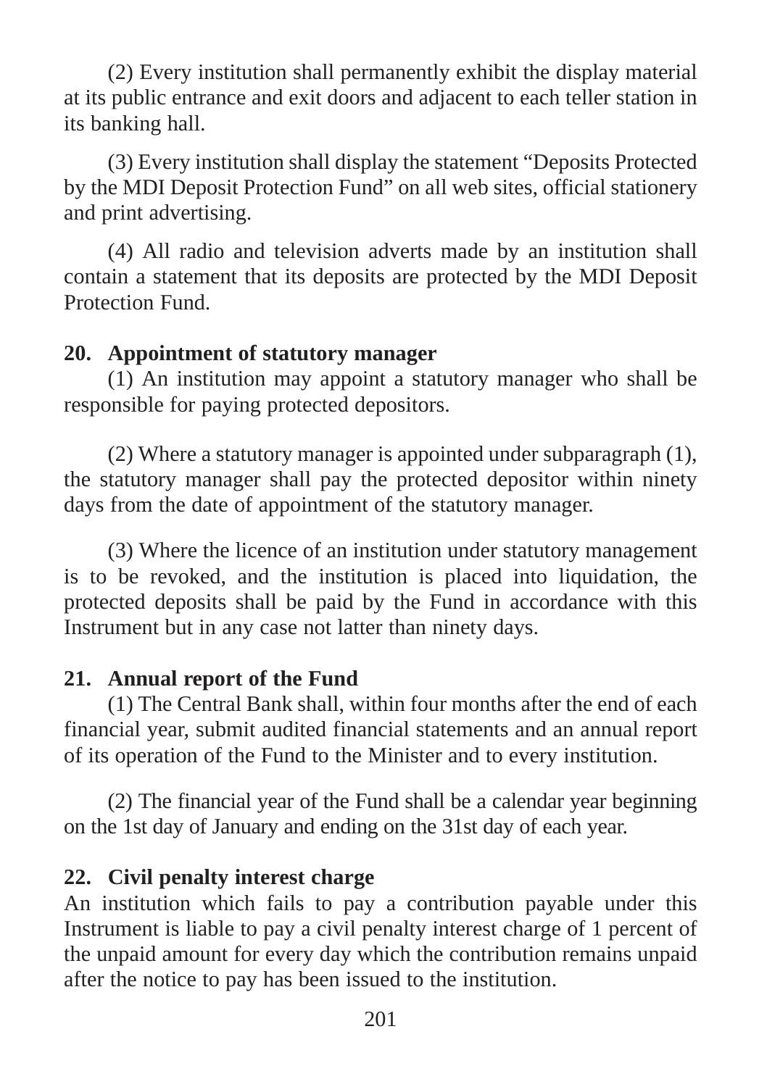(2) Every institution shall permanently exhibit the display material at its public entrance and exit doors and adjacent to each teller station in its banking hall.

(3) Every institution shall display the statement "Deposits Protected by the MDI Deposit Protection Fund" on all web sites, official stationery and print advertising.

(4) All radio and television adverts made by an institution shall contain a statement that its deposits are protected by the MDI Deposit Protection Fund.

## **20. Appointment of statutory manager**

(1) An institution may appoint a statutory manager who shall be responsible for paying protected depositors.

(2) Where a statutory manager is appointed under subparagraph (1), the statutory manager shall pay the protected depositor within ninety days from the date of appointment of the statutory manager.

(3) Where the licence of an institution under statutory management is to be revoked, and the institution is placed into liquidation, the protected deposits shall be paid by the Fund in accordance with this Instrument but in any case not latter than ninety days.

## **21. Annual report of the Fund**

(1) The Central Bank shall, within four months after the end of each financial year, submit audited financial statements and an annual report of its operation of the Fund to the Minister and to every institution.

(2) The financial year of the Fund shall be a calendar year beginning on the 1st day of January and ending on the 31st day of each year.

## **22. Civil penalty interest charge**

An institution which fails to pay a contribution payable under this Instrument is liable to pay a civil penalty interest charge of 1 percent of the unpaid amount for every day which the contribution remains unpaid after the notice to pay has been issued to the institution.